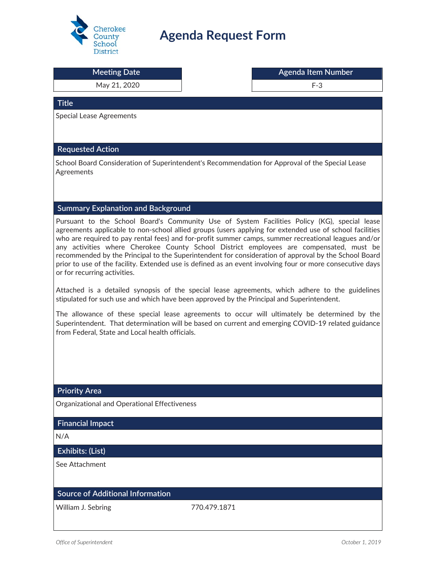

## **Agenda Request Form**

| <b>Meeting Date</b>                                                                                                                                                                                                                                                                                                                                                                                                                                                                                                                                                                                                                                             | <b>Agenda Item Number</b> |
|-----------------------------------------------------------------------------------------------------------------------------------------------------------------------------------------------------------------------------------------------------------------------------------------------------------------------------------------------------------------------------------------------------------------------------------------------------------------------------------------------------------------------------------------------------------------------------------------------------------------------------------------------------------------|---------------------------|
| May 21, 2020                                                                                                                                                                                                                                                                                                                                                                                                                                                                                                                                                                                                                                                    | $F-3$                     |
| <b>Title</b>                                                                                                                                                                                                                                                                                                                                                                                                                                                                                                                                                                                                                                                    |                           |
| <b>Special Lease Agreements</b>                                                                                                                                                                                                                                                                                                                                                                                                                                                                                                                                                                                                                                 |                           |
|                                                                                                                                                                                                                                                                                                                                                                                                                                                                                                                                                                                                                                                                 |                           |
| <b>Requested Action</b>                                                                                                                                                                                                                                                                                                                                                                                                                                                                                                                                                                                                                                         |                           |
| School Board Consideration of Superintendent's Recommendation for Approval of the Special Lease<br>Agreements                                                                                                                                                                                                                                                                                                                                                                                                                                                                                                                                                   |                           |
| <b>Summary Explanation and Background</b>                                                                                                                                                                                                                                                                                                                                                                                                                                                                                                                                                                                                                       |                           |
| Pursuant to the School Board's Community Use of System Facilities Policy (KG), special lease<br>agreements applicable to non-school allied groups (users applying for extended use of school facilities<br>who are required to pay rental fees) and for-profit summer camps, summer recreational leagues and/or<br>any activities where Cherokee County School District employees are compensated, must be<br>recommended by the Principal to the Superintendent for consideration of approval by the School Board<br>prior to use of the facility. Extended use is defined as an event involving four or more consecutive days<br>or for recurring activities. |                           |
| Attached is a detailed synopsis of the special lease agreements, which adhere to the guidelines<br>stipulated for such use and which have been approved by the Principal and Superintendent.                                                                                                                                                                                                                                                                                                                                                                                                                                                                    |                           |
| The allowance of these special lease agreements to occur will ultimately be determined by the<br>Superintendent. That determination will be based on current and emerging COVID-19 related guidance<br>from Federal, State and Local health officials.                                                                                                                                                                                                                                                                                                                                                                                                          |                           |
|                                                                                                                                                                                                                                                                                                                                                                                                                                                                                                                                                                                                                                                                 |                           |
|                                                                                                                                                                                                                                                                                                                                                                                                                                                                                                                                                                                                                                                                 |                           |
| <b>Priority Area</b>                                                                                                                                                                                                                                                                                                                                                                                                                                                                                                                                                                                                                                            |                           |
| Organizational and Operational Effectiveness                                                                                                                                                                                                                                                                                                                                                                                                                                                                                                                                                                                                                    |                           |
| <b>Financial Impact</b>                                                                                                                                                                                                                                                                                                                                                                                                                                                                                                                                                                                                                                         |                           |
| N/A                                                                                                                                                                                                                                                                                                                                                                                                                                                                                                                                                                                                                                                             |                           |
| Exhibits: (List)                                                                                                                                                                                                                                                                                                                                                                                                                                                                                                                                                                                                                                                |                           |
| See Attachment                                                                                                                                                                                                                                                                                                                                                                                                                                                                                                                                                                                                                                                  |                           |
| <b>Source of Additional Information</b>                                                                                                                                                                                                                                                                                                                                                                                                                                                                                                                                                                                                                         |                           |
| William J. Sebring<br>770.479.1871                                                                                                                                                                                                                                                                                                                                                                                                                                                                                                                                                                                                                              |                           |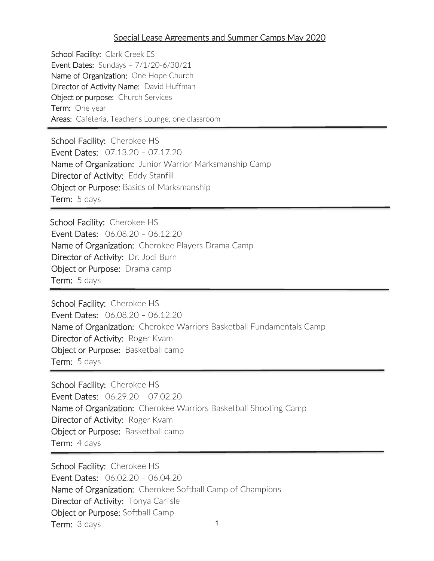## Special Lease Agreements and Summer Camps May 2020

School Facility: Clark Creek ES Event Dates: Sundays – 7/1/20-6/30/21 Name of Organization: One Hope Church Director of Activity Name: David Huffman Object or purpose: Church Services **Term:** One year Areas: Cafeteria, Teacher's Lounge, one classroom

School Facility: Cherokee HS Event Dates: 07.13.20 – 07.17.20 Name of Organization: Junior Warrior Marksmanship Camp Director of Activity: Eddy Stanfill Object or Purpose: Basics of Marksmanship Term: 5 days

School Facility: Cherokee HS Event Dates: 06.08.20 – 06.12.20 Name of Organization: Cherokee Players Drama Camp Director of Activity: Dr. Jodi Burn Object or Purpose: Drama camp Term: 5 days

School Facility: Cherokee HS Event Dates: 06.08.20 – 06.12.20 Name of Organization: Cherokee Warriors Basketball Fundamentals Camp Director of Activity: Roger Kvam Object or Purpose: Basketball camp Term: 5 days

School Facility: Cherokee HS Event Dates: 06.29.20 – 07.02.20 Name of Organization: Cherokee Warriors Basketball Shooting Camp Director of Activity: Roger Kvam **Object or Purpose:** Basketball camp Term: 4 days

1 School Facility: Cherokee HS Event Dates: 06.02.20 – 06.04.20 Name of Organization: Cherokee Softball Camp of Champions Director of Activity: Tonya Carlisle Object or Purpose: Softball Camp Term: 3 days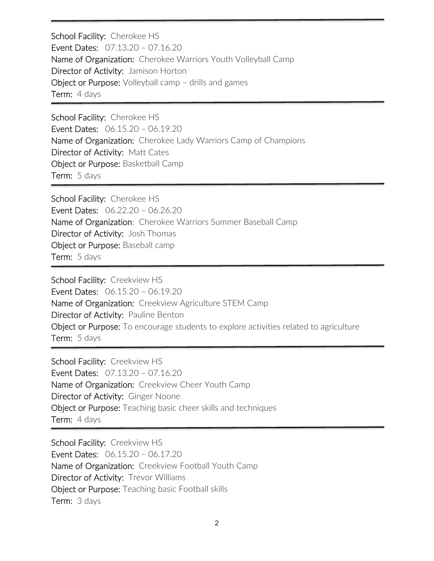School Facility: Cherokee HS Event Dates: 07.13.20 – 07.16.20 Name of Organization: Cherokee Warriors Youth Volleyball Camp Director of Activity: Jamison Horton Object or Purpose: Volleyball camp – drills and games Term: 4 days

School Facility: Cherokee HS Event Dates: 06.15.20 – 06.19.20 Name of Organization: Cherokee Lady Warriors Camp of Champions Director of Activity: Matt Cates Object or Purpose: Basketball Camp Term: 5 days

School Facility: Cherokee HS Event Dates: 06.22.20 – 06.26.20 Name of Organization: Cherokee Warriors Summer Baseball Camp Director of Activity: Josh Thomas Object or Purpose: Baseball camp Term: 5 days

School Facility: Creekview HS Event Dates: 06.15.20 – 06.19.20 Name of Organization: Creekview Agriculture STEM Camp Director of Activity: Pauline Benton Object or Purpose: To encourage students to explore activities related to agriculture Term: 5 days

School Facility: Creekview HS Event Dates: 07.13.20 – 07.16.20 Name of Organization: Creekview Cheer Youth Camp Director of Activity: Ginger Noone Object or Purpose: Teaching basic cheer skills and techniques Term: 4 days

School Facility: Creekview HS Event Dates: 06.15.20 – 06.17.20 Name of Organization: Creekview Football Youth Camp Director of Activity: Trevor Williams Object or Purpose: Teaching basic Football skills Term: 3 days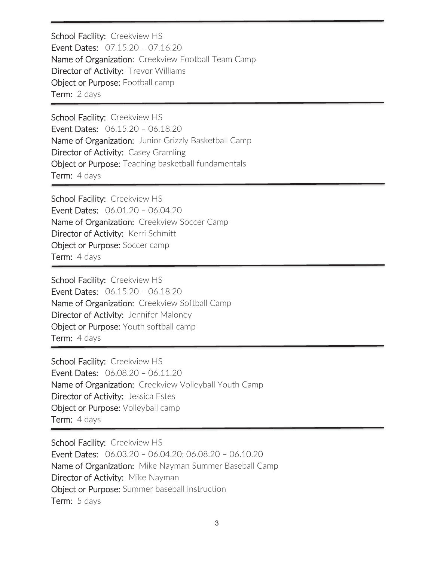School Facility: Creekview HS Event Dates: 07.15.20 – 07.16.20 Name of Organization: Creekview Football Team Camp Director of Activity: Trevor Williams Object or Purpose: Football camp Term: 2 days

School Facility: Creekview HS Event Dates: 06.15.20 – 06.18.20 Name of Organization: Junior Grizzly Basketball Camp Director of Activity: Casey Gramling Object or Purpose: Teaching basketball fundamentals Term: 4 days

j

School Facility: Creekview HS Event Dates: 06.01.20 – 06.04.20 Name of Organization: Creekview Soccer Camp Director of Activity: Kerri Schmitt Object or Purpose: Soccer camp Term: 4 days

School Facility: Creekview HS Event Dates: 06.15.20 – 06.18.20 Name of Organization: Creekview Softball Camp Director of Activity: Jennifer Maloney Object or Purpose: Youth softball camp Term: 4 days

School Facility: Creekview HS Event Dates: 06.08.20 – 06.11.20 Name of Organization: Creekview Volleyball Youth Camp Director of Activity: Jessica Estes Object or Purpose: Volleyball camp Term: 4 days

School Facility: Creekview HS Event Dates: 06.03.20 – 06.04.20; 06.08.20 – 06.10.20 Name of Organization: Mike Nayman Summer Baseball Camp Director of Activity: Mike Nayman Object or Purpose: Summer baseball instruction Term: 5 days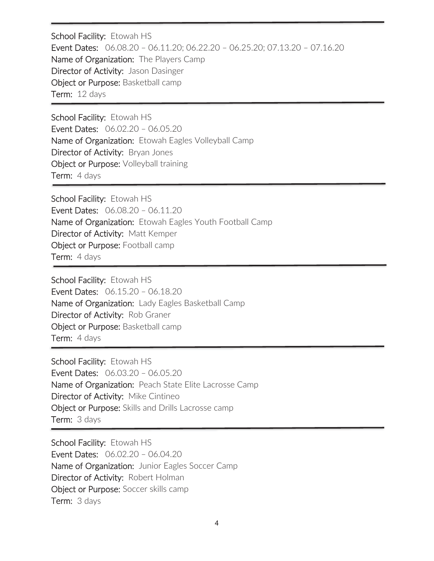School Facility: Etowah HS Event Dates: 06.08.20 – 06.11.20; 06.22.20 – 06.25.20; 07.13.20 – 07.16.20 Name of Organization: The Players Camp Director of Activity: Jason Dasinger Object or Purpose: Basketball camp Term: 12 days

School Facility: Etowah HS Event Dates: 06.02.20 – 06.05.20 Name of Organization: Etowah Eagles Volleyball Camp Director of Activity: Bryan Jones Object or Purpose: Volleyball training Term: 4 days

School Facility: Etowah HS Event Dates: 06.08.20 – 06.11.20 Name of Organization: Etowah Eagles Youth Football Camp Director of Activity: Matt Kemper Object or Purpose: Football camp Term: 4 days

School Facility: Etowah HS Event Dates: 06.15.20 – 06.18.20 Name of Organization: Lady Eagles Basketball Camp Director of Activity: Rob Graner Object or Purpose: Basketball camp Term: 4 days

School Facility: Etowah HS Event Dates: 06.03.20 – 06.05.20 Name of Organization: Peach State Elite Lacrosse Camp Director of Activity: Mike Cintineo Object or Purpose: Skills and Drills Lacrosse camp Term: 3 days

School Facility: Etowah HS Event Dates: 06.02.20 – 06.04.20 Name of Organization: Junior Eagles Soccer Camp Director of Activity: Robert Holman Object or Purpose: Soccer skills camp Term: 3 days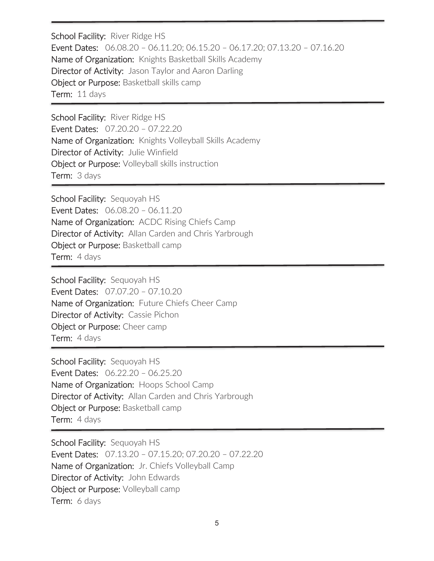School Facility: River Ridge HS Event Dates: 06.08.20 – 06.11.20; 06.15.20 – 06.17.20; 07.13.20 – 07.16.20 Name of Organization: Knights Basketball Skills Academy Director of Activity: Jason Taylor and Aaron Darling Object or Purpose: Basketball skills camp Term: 11 days

School Facility: River Ridge HS Event Dates: 07.20.20 – 07.22.20 Name of Organization: Knights Volleyball Skills Academy Director of Activity: Julie Winfield Object or Purpose: Volleyball skills instruction Term: 3 days

School Facility: Sequoyah HS Event Dates: 06.08.20 – 06.11.20 Name of Organization: ACDC Rising Chiefs Camp Director of Activity: Allan Carden and Chris Yarbrough Object or Purpose: Basketball camp Term: 4 days

School Facility: Sequoyah HS Event Dates: 07.07.20 – 07.10.20 Name of Organization: Future Chiefs Cheer Camp Director of Activity: Cassie Pichon Object or Purpose: Cheer camp Term: 4 days

School Facility: Sequoyah HS Event Dates: 06.22.20 – 06.25.20 Name of Organization: Hoops School Camp Director of Activity: Allan Carden and Chris Yarbrough Object or Purpose: Basketball camp Term: 4 days

School Facility: Sequoyah HS Event Dates: 07.13.20 – 07.15.20; 07.20.20 – 07.22.20 Name of Organization: Jr. Chiefs Volleyball Camp Director of Activity: John Edwards Object or Purpose: Volleyball camp Term: 6 days